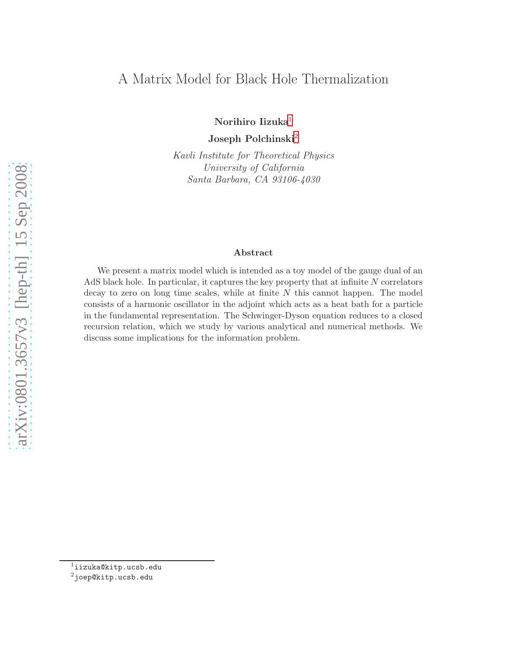# A Matrix Model for Black Hole Thermalization

Norihiro Iizuka<sup>[1](#page-0-0)</sup>

Joseph Polchinski<sup>[2](#page-0-1)</sup>

Kavli Institute for Theoretical Physics University of California Santa Barbara, CA 93106-4030

#### Abstract

We present a matrix model which is intended as a toy model of the gauge dual of an AdS black hole. In particular, it captures the key property that at infinite  $N$  correlators decay to zero on long time scales, while at finite N this cannot happen. The model consists of a harmonic oscillator in the adjoint which acts as a heat bath for a particle in the fundamental representation. The Schwinger-Dyson equation reduces to a closed recursion relation, which we study by various analytical and numerical methods. We discuss some implications for the information problem.

<span id="page-0-1"></span><span id="page-0-0"></span><sup>2</sup>joep@kitp.ucsb.edu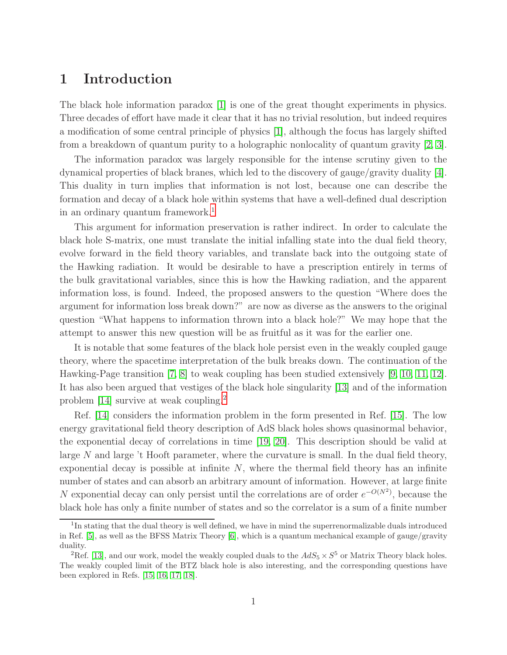## 1 Introduction

The black hole information paradox [\[1\]](#page-20-0) is one of the great thought experiments in physics. Three decades of effort have made it clear that it has no trivial resolution, but indeed requires a modification of some central principle of physics [\[1\]](#page-20-0), although the focus has largely shifted from a breakdown of quantum purity to a holographic nonlocality of quantum gravity [2, [3\]](#page-20-1).

The information paradox was largely responsible for the intense scrutiny given to the dynamical properties of black branes, which led to the discovery of gauge/gravity duality [\[4\]](#page-20-2). This duality in turn implies that information is not lost, because one can describe the formation and decay of a black hole within systems that have a well-defined dual description in an ordinary quantum framework.<sup>[1](#page-1-0)</sup>

This argument for information preservation is rather indirect. In order to calculate the black hole S-matrix, one must translate the initial infalling state into the dual field theory, evolve forward in the field theory variables, and translate back into the outgoing state of the Hawking radiation. It would be desirable to have a prescription entirely in terms of the bulk gravitational variables, since this is how the Hawking radiation, and the apparent information loss, is found. Indeed, the proposed answers to the question "Where does the argument for information loss break down?" are now as diverse as the answers to the original question "What happens to information thrown into a black hole?" We may hope that the attempt to answer this new question will be as fruitful as it was for the earlier one.

It is notable that some features of the black hole persist even in the weakly coupled gauge theory, where the spacetime interpretation of the bulk breaks down. The continuation of the Hawking-Page transition [\[7,](#page-20-3) [8\]](#page-20-4) to weak coupling has been studied extensively [\[9,](#page-20-5) [10,](#page-20-6) [11,](#page-20-7) [12\]](#page-20-8). It has also been argued that vestiges of the black hole singularity [\[13\]](#page-20-9) and of the information problem [\[14\]](#page-20-10) survive at weak coupling.[2](#page-1-1)

Ref. [\[14\]](#page-20-10) considers the information problem in the form presented in Ref. [\[15\]](#page-21-0). The low energy gravitational field theory description of AdS black holes shows quasinormal behavior, the exponential decay of correlations in time [\[19,](#page-21-1) [20\]](#page-21-2). This description should be valid at large  $N$  and large  $\lambda$  Hooft parameter, where the curvature is small. In the dual field theory, exponential decay is possible at infinite  $N$ , where the thermal field theory has an infinite number of states and can absorb an arbitrary amount of information. However, at large finite N exponential decay can only persist until the correlations are of order  $e^{-O(N^2)}$ , because the black hole has only a finite number of states and so the correlator is a sum of a finite number

<span id="page-1-0"></span><sup>&</sup>lt;sup>1</sup>In stating that the dual theory is well defined, we have in mind the superrenormalizable duals introduced in Ref. [\[5\]](#page-20-11), as well as the BFSS Matrix Theory [\[6\]](#page-20-12), which is a quantum mechanical example of gauge/gravity duality.

<span id="page-1-1"></span><sup>&</sup>lt;sup>2</sup>Ref. [\[13\]](#page-20-9), and our work, model the weakly coupled duals to the  $AdS_5 \times S^5$  or Matrix Theory black holes. The weakly coupled limit of the BTZ black hole is also interesting, and the corresponding questions have been explored in Refs. [\[15,](#page-21-0) [16,](#page-21-3) [17,](#page-21-4) [18\]](#page-21-5).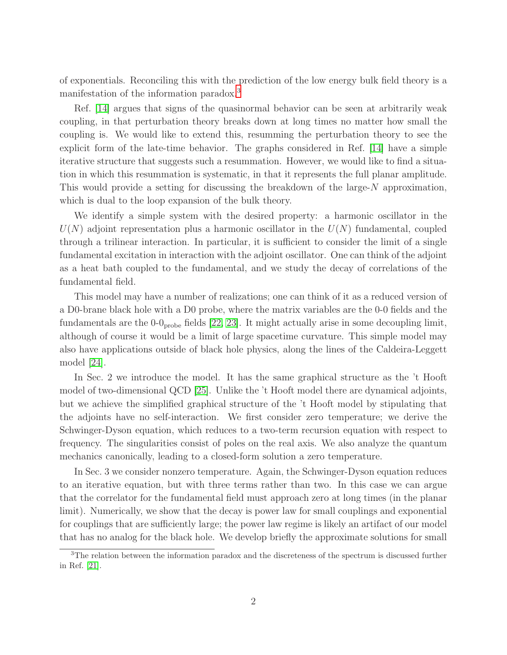of exponentials. Reconciling this with the prediction of the low energy bulk field theory is a manifestation of the information paradox.[3](#page-2-0)

Ref. [\[14\]](#page-20-10) argues that signs of the quasinormal behavior can be seen at arbitrarily weak coupling, in that perturbation theory breaks down at long times no matter how small the coupling is. We would like to extend this, resumming the perturbation theory to see the explicit form of the late-time behavior. The graphs considered in Ref. [\[14\]](#page-20-10) have a simple iterative structure that suggests such a resummation. However, we would like to find a situation in which this resummation is systematic, in that it represents the full planar amplitude. This would provide a setting for discussing the breakdown of the large- $N$  approximation, which is dual to the loop expansion of the bulk theory.

We identify a simple system with the desired property: a harmonic oscillator in the  $U(N)$  adjoint representation plus a harmonic oscillator in the  $U(N)$  fundamental, coupled through a trilinear interaction. In particular, it is sufficient to consider the limit of a single fundamental excitation in interaction with the adjoint oscillator. One can think of the adjoint as a heat bath coupled to the fundamental, and we study the decay of correlations of the fundamental field.

This model may have a number of realizations; one can think of it as a reduced version of a D0-brane black hole with a D0 probe, where the matrix variables are the 0-0 fields and the fundamentals are the  $0$ - $0_{\text{probe}}$  fields [\[22,](#page-21-6) [23\]](#page-21-7). It might actually arise in some decoupling limit, although of course it would be a limit of large spacetime curvature. This simple model may also have applications outside of black hole physics, along the lines of the Caldeira-Leggett model [\[24\]](#page-21-8).

In Sec. 2 we introduce the model. It has the same graphical structure as the 't Hooft model of two-dimensional QCD [25]. Unlike the 't Hooft model there are dynamical adjoints, but we achieve the simplified graphical structure of the 't Hooft model by stipulating that the adjoints have no self-interaction. We first consider zero temperature; we derive the Schwinger-Dyson equation, which reduces to a two-term recursion equation with respect to frequency. The singularities consist of poles on the real axis. We also analyze the quantum mechanics canonically, leading to a closed-form solution a zero temperature.

In Sec. 3 we consider nonzero temperature. Again, the Schwinger-Dyson equation reduces to an iterative equation, but with three terms rather than two. In this case we can argue that the correlator for the fundamental field must approach zero at long times (in the planar limit). Numerically, we show that the decay is power law for small couplings and exponential for couplings that are sufficiently large; the power law regime is likely an artifact of our model that has no analog for the black hole. We develop briefly the approximate solutions for small

<span id="page-2-0"></span><sup>&</sup>lt;sup>3</sup>The relation between the information paradox and the discreteness of the spectrum is discussed further in Ref. [\[21\]](#page-21-9).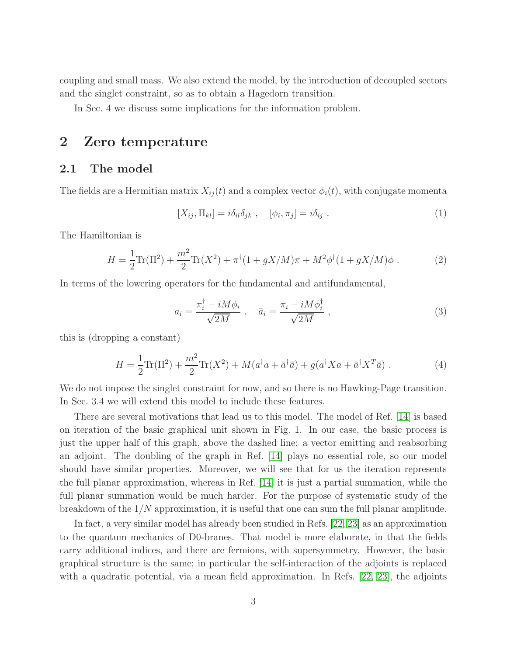coupling and small mass. We also extend the model, by the introduction of decoupled sectors and the singlet constraint, so as to obtain a Hagedorn transition.

In Sec. 4 we discuss some implications for the information problem.

## 2 Zero temperature

### 2.1 The model

The fields are a Hermitian matrix  $X_{ij}(t)$  and a complex vector  $\phi_i(t)$ , with conjugate momenta

$$
[X_{ij}, \Pi_{kl}] = i\delta_{il}\delta_{jk} , \quad [\phi_i, \pi_j] = i\delta_{ij} . \tag{1}
$$

The Hamiltonian is

$$
H = \frac{1}{2}\text{Tr}(\Pi^2) + \frac{m^2}{2}\text{Tr}(X^2) + \pi^{\dagger}(1 + gX/M)\pi + M^2\phi^{\dagger}(1 + gX/M)\phi.
$$
 (2)

In terms of the lowering operators for the fundamental and antifundamental,

$$
a_i = \frac{\pi_i^{\dagger} - iM\phi_i}{\sqrt{2M}} \ , \quad \bar{a}_i = \frac{\pi_i - iM\phi_i^{\dagger}}{\sqrt{2M}} \ , \tag{3}
$$

this is (dropping a constant)

<span id="page-3-0"></span>
$$
H = \frac{1}{2}\text{Tr}(\Pi^2) + \frac{m^2}{2}\text{Tr}(X^2) + M(a^\dagger a + \bar{a}^\dagger \bar{a}) + g(a^\dagger X a + \bar{a}^\dagger X^T \bar{a})\,. \tag{4}
$$

We do not impose the singlet constraint for now, and so there is no Hawking-Page transition. In Sec. 3.4 we will extend this model to include these features.

There are several motivations that lead us to this model. The model of Ref. [\[14\]](#page-20-10) is based on iteration of the basic graphical unit shown in Fig. 1. In our case, the basic process is just the upper half of this graph, above the dashed line: a vector emitting and reabsorbing an adjoint. The doubling of the graph in Ref. [\[14\]](#page-20-10) plays no essential role, so our model should have similar properties. Moreover, we will see that for us the iteration represents the full planar approximation, whereas in Ref. [\[14\]](#page-20-10) it is just a partial summation, while the full planar summation would be much harder. For the purpose of systematic study of the breakdown of the  $1/N$  approximation, it is useful that one can sum the full planar amplitude.

In fact, a very similar model has already been studied in Refs. [\[22,](#page-21-6) [23\]](#page-21-7) as an approximation to the quantum mechanics of D0-branes. That model is more elaborate, in that the fields carry additional indices, and there are fermions, with supersymmetry. However, the basic graphical structure is the same; in particular the self-interaction of the adjoints is replaced with a quadratic potential, via a mean field approximation. In Refs. [\[22,](#page-21-6) [23\]](#page-21-7), the adjoints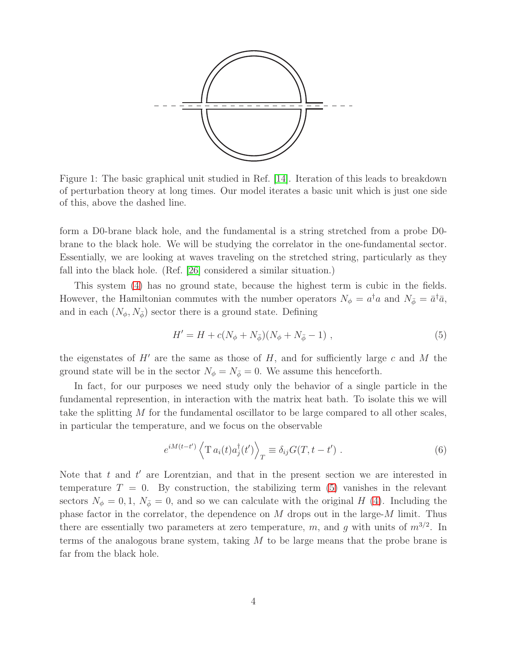

Figure 1: The basic graphical unit studied in Ref. [\[14\]](#page-20-10). Iteration of this leads to breakdown of perturbation theory at long times. Our model iterates a basic unit which is just one side of this, above the dashed line.

form a D0-brane black hole, and the fundamental is a string stretched from a probe D0 brane to the black hole. We will be studying the correlator in the one-fundamental sector. Essentially, we are looking at waves traveling on the stretched string, particularly as they fall into the black hole. (Ref. [\[26\]](#page-21-10) considered a similar situation.)

This system [\(4\)](#page-3-0) has no ground state, because the highest term is cubic in the fields. However, the Hamiltonian commutes with the number operators  $N_{\phi} = a^{\dagger}a$  and  $N_{\bar{\phi}} = \bar{a}^{\dagger}\bar{a}$ , and in each  $(N_{\phi}, N_{\bar{\phi}})$  sector there is a ground state. Defining

<span id="page-4-0"></span>
$$
H' = H + c(N_{\phi} + N_{\bar{\phi}})(N_{\phi} + N_{\bar{\phi}} - 1) \tag{5}
$$

the eigenstates of  $H'$  are the same as those of  $H$ , and for sufficiently large c and M the ground state will be in the sector  $N_{\phi} = N_{\bar{\phi}} = 0$ . We assume this henceforth.

In fact, for our purposes we need study only the behavior of a single particle in the fundamental represention, in interaction with the matrix heat bath. To isolate this we will take the splitting M for the fundamental oscillator to be large compared to all other scales, in particular the temperature, and we focus on the observable

<span id="page-4-1"></span>
$$
e^{iM(t-t')}\left\langle\operatorname{T}a_i(t)a_j^\dagger(t')\right\rangle_T \equiv \delta_{ij}G(T,t-t')\ .\tag{6}
$$

Note that  $t$  and  $t'$  are Lorentzian, and that in the present section we are interested in temperature  $T = 0$ . By construction, the stabilizing term [\(5\)](#page-4-0) vanishes in the relevant sectors  $N_{\phi} = 0, 1, N_{\bar{\phi}} = 0$ , and so we can calculate with the original H [\(4\)](#page-3-0). Including the phase factor in the correlator, the dependence on  $M$  drops out in the large- $M$  limit. Thus there are essentially two parameters at zero temperature, m, and g with units of  $m^{3/2}$ . In terms of the analogous brane system, taking  $M$  to be large means that the probe brane is far from the black hole.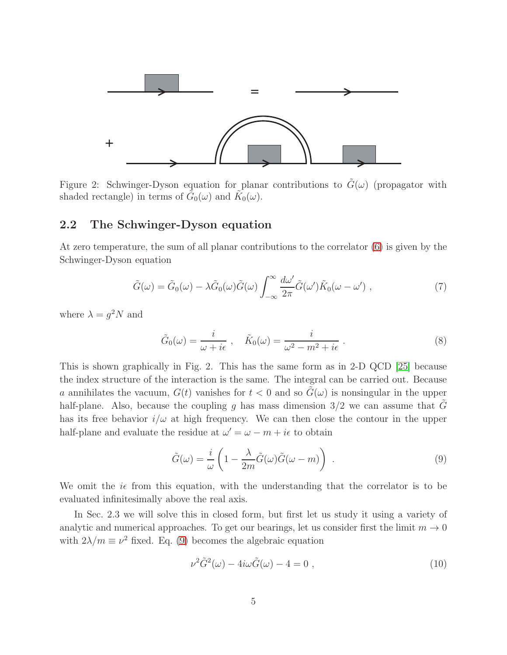

Figure 2: Schwinger-Dyson equation for planar contributions to  $G(\omega)$  (propagator with shaded rectangle) in terms of  $\tilde{G}_0(\omega)$  and  $\tilde{K}_0(\omega)$ .

#### 2.2 The Schwinger-Dyson equation

At zero temperature, the sum of all planar contributions to the correlator [\(6\)](#page-4-1) is given by the Schwinger-Dyson equation

$$
\tilde{G}(\omega) = \tilde{G}_0(\omega) - \lambda \tilde{G}_0(\omega) \tilde{G}(\omega) \int_{-\infty}^{\infty} \frac{d\omega'}{2\pi} \tilde{G}(\omega') \tilde{K}_0(\omega - \omega') , \qquad (7)
$$

where  $\lambda = g^2 N$  and

$$
\tilde{G}_0(\omega) = \frac{i}{\omega + i\epsilon} , \quad \tilde{K}_0(\omega) = \frac{i}{\omega^2 - m^2 + i\epsilon} . \tag{8}
$$

This is shown graphically in Fig. 2. This has the same form as in 2-D QCD [25] because the index structure of the interaction is the same. The integral can be carried out. Because a annihilates the vacuum,  $G(t)$  vanishes for  $t < 0$  and so  $G(\omega)$  is nonsingular in the upper half-plane. Also, because the coupling g has mass dimension  $3/2$  we can assume that  $\tilde{G}$ has its free behavior  $i/\omega$  at high frequency. We can then close the contour in the upper half-plane and evaluate the residue at  $\omega' = \omega - m + i\epsilon$  to obtain

<span id="page-5-0"></span>
$$
\tilde{G}(\omega) = \frac{i}{\omega} \left( 1 - \frac{\lambda}{2m} \tilde{G}(\omega) \tilde{G}(\omega - m) \right) . \tag{9}
$$

We omit the  $i\epsilon$  from this equation, with the understanding that the correlator is to be evaluated infinitesimally above the real axis.

In Sec. 2.3 we will solve this in closed form, but first let us study it using a variety of analytic and numerical approaches. To get our bearings, let us consider first the limit  $m \to 0$ with  $2\lambda/m \equiv \nu^2$  fixed. Eq. [\(9\)](#page-5-0) becomes the algebraic equation

$$
\nu^2 \tilde{G}^2(\omega) - 4i\omega \tilde{G}(\omega) - 4 = 0 , \qquad (10)
$$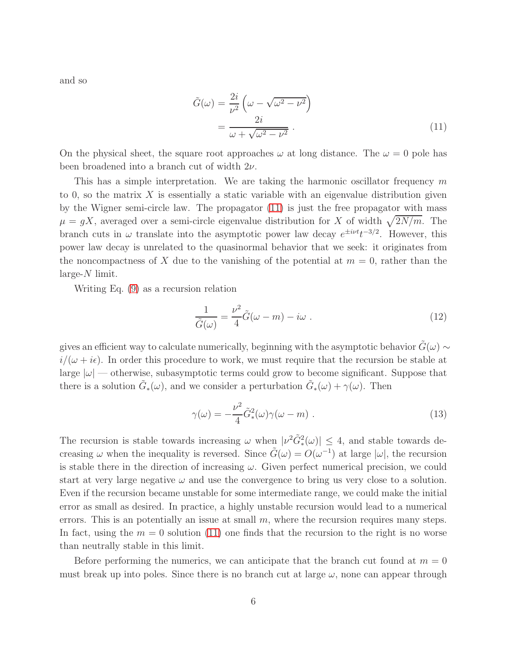and so

<span id="page-6-0"></span>
$$
\tilde{G}(\omega) = \frac{2i}{\nu^2} \left( \omega - \sqrt{\omega^2 - \nu^2} \right)
$$

$$
= \frac{2i}{\omega + \sqrt{\omega^2 - \nu^2}} \ . \tag{11}
$$

On the physical sheet, the square root approaches  $\omega$  at long distance. The  $\omega = 0$  pole has been broadened into a branch cut of width  $2\nu$ .

This has a simple interpretation. We are taking the harmonic oscillator frequency  $m$ to 0, so the matrix  $X$  is essentially a static variable with an eigenvalue distribution given by the Wigner semi-circle law. The propagator [\(11\)](#page-6-0) is just the free propagator with mass  $\mu = gX$ , averaged over a semi-circle eigenvalue distribution for X of width  $\sqrt{2N/m}$ . The branch cuts in  $\omega$  translate into the asymptotic power law decay  $e^{\pm i\nu t}t^{-3/2}$ . However, this power law decay is unrelated to the quasinormal behavior that we seek: it originates from the noncompactness of X due to the vanishing of the potential at  $m = 0$ , rather than the  $large-N$  limit.

Writing Eq. [\(9\)](#page-5-0) as a recursion relation

<span id="page-6-1"></span>
$$
\frac{1}{\tilde{G}(\omega)} = \frac{\nu^2}{4}\tilde{G}(\omega - m) - i\omega \tag{12}
$$

gives an efficient way to calculate numerically, beginning with the asymptotic behavior  $\tilde{G}(\omega) \sim$  $i/(\omega + i\epsilon)$ . In order this procedure to work, we must require that the recursion be stable at large  $|\omega|$  — otherwise, subasymptotic terms could grow to become significant. Suppose that there is a solution  $\tilde{G}_{*}(\omega)$ , and we consider a perturbation  $\tilde{G}_{*}(\omega) + \gamma(\omega)$ . Then

$$
\gamma(\omega) = -\frac{\nu^2}{4}\tilde{G}_*^2(\omega)\gamma(\omega - m) \ . \tag{13}
$$

The recursion is stable towards increasing  $\omega$  when  $|\nu^2 \tilde{G}_*^2(\omega)| \leq 4$ , and stable towards decreasing  $\omega$  when the inequality is reversed. Since  $\tilde{G}(\omega) = O(\omega^{-1})$  at large  $|\omega|$ , the recursion is stable there in the direction of increasing  $\omega$ . Given perfect numerical precision, we could start at very large negative  $\omega$  and use the convergence to bring us very close to a solution. Even if the recursion became unstable for some intermediate range, we could make the initial error as small as desired. In practice, a highly unstable recursion would lead to a numerical errors. This is an potentially an issue at small  $m$ , where the recursion requires many steps. In fact, using the  $m = 0$  solution [\(11\)](#page-6-0) one finds that the recursion to the right is no worse than neutrally stable in this limit.

Before performing the numerics, we can anticipate that the branch cut found at  $m = 0$ must break up into poles. Since there is no branch cut at large  $\omega$ , none can appear through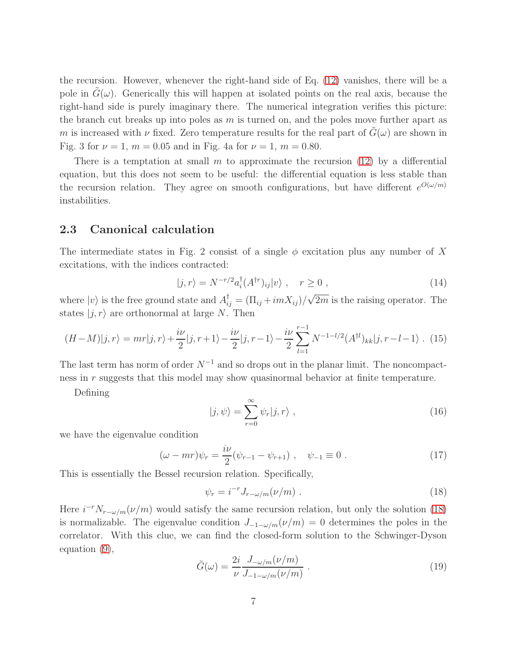the recursion. However, whenever the right-hand side of Eq. [\(12\)](#page-6-1) vanishes, there will be a pole in  $G(\omega)$ . Generically this will happen at isolated points on the real axis, because the right-hand side is purely imaginary there. The numerical integration verifies this picture: the branch cut breaks up into poles as  $m$  is turned on, and the poles move further apart as m is increased with  $\nu$  fixed. Zero temperature results for the real part of  $\tilde{G}(\omega)$  are shown in Fig. 3 for  $\nu = 1$ ,  $m = 0.05$  and in Fig. 4a for  $\nu = 1$ ,  $m = 0.80$ .

There is a temptation at small m to approximate the recursion  $(12)$  by a differential equation, but this does not seem to be useful: the differential equation is less stable than the recursion relation. They agree on smooth configurations, but have different  $e^{O(\omega/m)}$ instabilities.

#### 2.3 Canonical calculation

The intermediate states in Fig. 2 consist of a single  $\phi$  excitation plus any number of X excitations, with the indices contracted:

$$
|j,r\rangle = N^{-r/2} a_i^{\dagger} (A^{\dagger r})_{ij} |v\rangle \ , \quad r \ge 0 \ , \tag{14}
$$

where  $|v\rangle$  is the free ground state and  $A_{ij}^{\dagger} = (\Pi_{ij} + imX_{ij})/\sqrt{2m}$  is the raising operator. The states  $|j, r\rangle$  are orthonormal at large N. Then

$$
(H-M)|j,r\rangle = mr|j,r\rangle + \frac{i\nu}{2}|j,r+1\rangle - \frac{i\nu}{2}|j,r-1\rangle - \frac{i\nu}{2}\sum_{l=1}^{r-1} N^{-1-l/2}(A^{\dagger l})_{kk}|j,r-l-1\rangle. \tag{15}
$$

The last term has norm of order  $N^{-1}$  and so drops out in the planar limit. The noncompactness in r suggests that this model may show quasinormal behavior at finite temperature.

Defining

$$
|j,\psi\rangle = \sum_{r=0}^{\infty} \psi_r |j,r\rangle , \qquad (16)
$$

we have the eigenvalue condition

$$
(\omega - mr)\psi_r = \frac{i\nu}{2}(\psi_{r-1} - \psi_{r+1}), \quad \psi_{-1} \equiv 0.
$$
 (17)

This is essentially the Bessel recursion relation. Specifically,

<span id="page-7-0"></span>
$$
\psi_r = i^{-r} J_{r-\omega/m}(\nu/m) \tag{18}
$$

Here  $i^{-r}N_{r-\omega/m}(\nu/m)$  would satisfy the same recursion relation, but only the solution [\(18\)](#page-7-0) is normalizable. The eigenvalue condition  $J_{-1-\omega/m}(\nu/m) = 0$  determines the poles in the correlator. With this clue, we can find the closed-form solution to the Schwinger-Dyson equation [\(9\)](#page-5-0),

$$
\tilde{G}(\omega) = \frac{2i}{\nu} \frac{J_{-\omega/m}(\nu/m)}{J_{-1-\omega/m}(\nu/m)} \ . \tag{19}
$$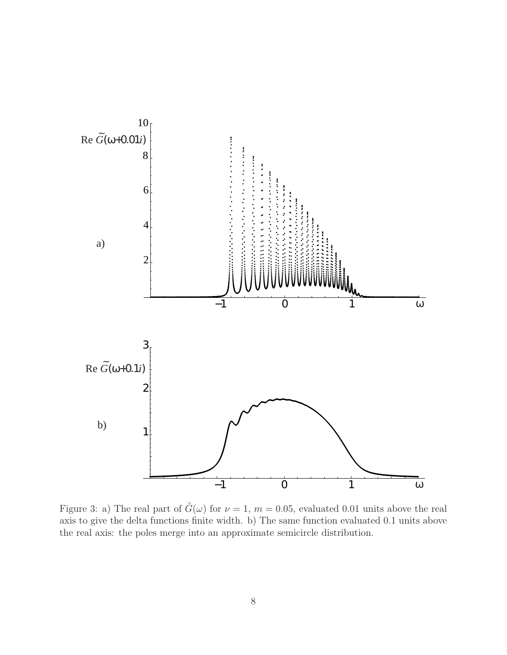

Figure 3: a) The real part of  $\tilde{G}(\omega)$  for  $\nu = 1$ ,  $m = 0.05$ , evaluated 0.01 units above the real axis to give the delta functions finite width. b) The same function evaluated 0.1 units above the real axis: the poles merge into an approximate semicircle distribution.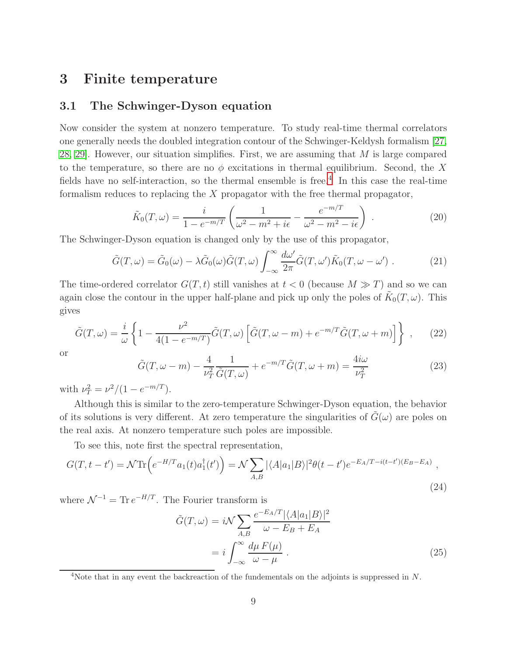## 3 Finite temperature

### 3.1 The Schwinger-Dyson equation

Now consider the system at nonzero temperature. To study real-time thermal correlators one generally needs the doubled integration contour of the Schwinger-Keldysh formalism [\[27,](#page-21-11) [28,](#page-22-0) [29\]](#page-22-1). However, our situation simplifies. First, we are assuming that M is large compared to the temperature, so there are no  $\phi$  excitations in thermal equilibrium. Second, the X fields have no self-interaction, so the thermal ensemble is free.<sup>[4](#page-9-0)</sup> In this case the real-time formalism reduces to replacing the X propagator with the free thermal propagator,

<span id="page-9-2"></span>
$$
\tilde{K}_0(T,\omega) = \frac{i}{1 - e^{-m/T}} \left( \frac{1}{\omega^2 - m^2 + i\epsilon} - \frac{e^{-m/T}}{\omega^2 - m^2 - i\epsilon} \right) \tag{20}
$$

The Schwinger-Dyson equation is changed only by the use of this propagator,

$$
\tilde{G}(T,\omega) = \tilde{G}_0(\omega) - \lambda \tilde{G}_0(\omega) \tilde{G}(T,\omega) \int_{-\infty}^{\infty} \frac{d\omega'}{2\pi} \tilde{G}(T,\omega') \tilde{K}_0(T,\omega - \omega') . \tag{21}
$$

The time-ordered correlator  $G(T, t)$  still vanishes at  $t < 0$  (because  $M \gg T$ ) and so we can again close the contour in the upper half-plane and pick up only the poles of  $\tilde{K}_0(T,\omega)$ . This gives

$$
\tilde{G}(T,\omega) = \frac{i}{\omega} \left\{ 1 - \frac{\nu^2}{4(1 - e^{-m/T})} \tilde{G}(T,\omega) \left[ \tilde{G}(T,\omega - m) + e^{-m/T} \tilde{G}(T,\omega + m) \right] \right\} ,\qquad(22)
$$

or

<span id="page-9-1"></span>
$$
\tilde{G}(T,\omega-m) - \frac{4}{\nu_T^2} \frac{1}{\tilde{G}(T,\omega)} + e^{-m/T} \tilde{G}(T,\omega+m) = \frac{4i\omega}{\nu_T^2}
$$
\n(23)

with  $\nu_T^2 = \nu^2/(1 - e^{-m/T}).$ 

Although this is similar to the zero-temperature Schwinger-Dyson equation, the behavior of its solutions is very different. At zero temperature the singularities of  $G(\omega)$  are poles on the real axis. At nonzero temperature such poles are impossible.

To see this, note first the spectral representation,

$$
G(T, t - t') = \mathcal{N} \text{Tr}\left(e^{-H/T} a_1(t) a_1^\dagger(t')\right) = \mathcal{N} \sum_{A, B} |\langle A| a_1 | B \rangle|^2 \theta(t - t') e^{-E_A/T - i(t - t')(E_B - E_A)},\tag{24}
$$

where  $\mathcal{N}^{-1} = \text{Tr } e^{-H/T}$ . The Fourier transform is

$$
\tilde{G}(T,\omega) = i\mathcal{N} \sum_{A,B} \frac{e^{-E_A/T} |\langle A|a_1|B\rangle|^2}{\omega - E_B + E_A}
$$

$$
= i \int_{-\infty}^{\infty} \frac{d\mu F(\mu)}{\omega - \mu} . \tag{25}
$$

<span id="page-9-0"></span> $4$ Note that in any event the backreaction of the fundementals on the adjoints is suppressed in  $N$ .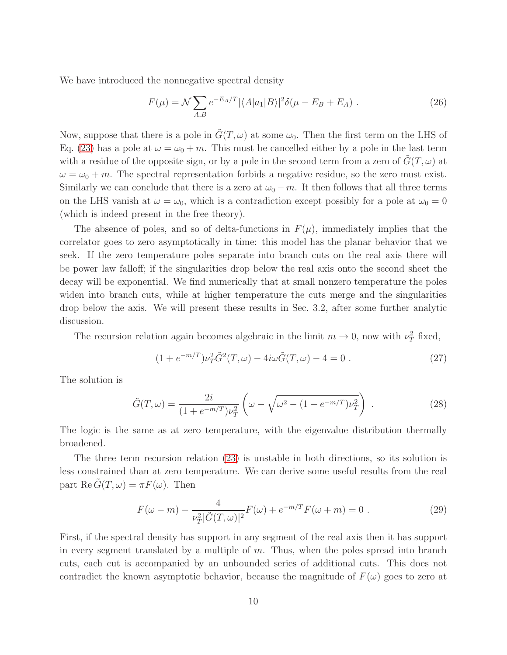We have introduced the nonnegative spectral density

$$
F(\mu) = \mathcal{N} \sum_{A,B} e^{-E_A/T} |\langle A|a_1|B\rangle|^2 \delta(\mu - E_B + E_A) \tag{26}
$$

Now, suppose that there is a pole in  $\tilde{G}(T,\omega)$  at some  $\omega_0$ . Then the first term on the LHS of Eq. [\(23\)](#page-9-1) has a pole at  $\omega = \omega_0 + m$ . This must be cancelled either by a pole in the last term with a residue of the opposite sign, or by a pole in the second term from a zero of  $G(T, \omega)$  at  $\omega = \omega_0 + m$ . The spectral representation forbids a negative residue, so the zero must exist. Similarly we can conclude that there is a zero at  $\omega_0 - m$ . It then follows that all three terms on the LHS vanish at  $\omega = \omega_0$ , which is a contradiction except possibly for a pole at  $\omega_0 = 0$ (which is indeed present in the free theory).

The absence of poles, and so of delta-functions in  $F(\mu)$ , immediately implies that the correlator goes to zero asymptotically in time: this model has the planar behavior that we seek. If the zero temperature poles separate into branch cuts on the real axis there will be power law falloff; if the singularities drop below the real axis onto the second sheet the decay will be exponential. We find numerically that at small nonzero temperature the poles widen into branch cuts, while at higher temperature the cuts merge and the singularities drop below the axis. We will present these results in Sec. 3.2, after some further analytic discussion.

The recursion relation again becomes algebraic in the limit  $m \to 0$ , now with  $\nu_T^2$  fixed,

$$
(1 + e^{-m/T})\nu_T^2 \tilde{G}^2(T, \omega) - 4i\omega \tilde{G}(T, \omega) - 4 = 0.
$$
 (27)

The solution is

<span id="page-10-1"></span>
$$
\tilde{G}(T,\omega) = \frac{2i}{(1 + e^{-m/T})\nu_T^2} \left(\omega - \sqrt{\omega^2 - (1 + e^{-m/T})\nu_T^2}\right) \,. \tag{28}
$$

The logic is the same as at zero temperature, with the eigenvalue distribution thermally broadened.

The three term recursion relation [\(23\)](#page-9-1) is unstable in both directions, so its solution is less constrained than at zero temperature. We can derive some useful results from the real part Re  $\tilde{G}(T,\omega) = \pi F(\omega)$ . Then

<span id="page-10-0"></span>
$$
F(\omega - m) - \frac{4}{\nu_T^2 |\tilde{G}(T,\omega)|^2} F(\omega) + e^{-m/T} F(\omega + m) = 0.
$$
 (29)

First, if the spectral density has support in any segment of the real axis then it has support in every segment translated by a multiple of  $m$ . Thus, when the poles spread into branch cuts, each cut is accompanied by an unbounded series of additional cuts. This does not contradict the known asymptotic behavior, because the magnitude of  $F(\omega)$  goes to zero at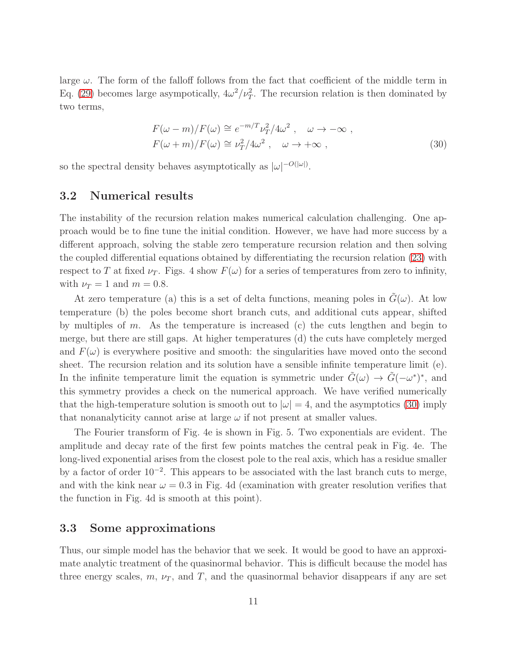large  $\omega$ . The form of the falloff follows from the fact that coefficient of the middle term in Eq. [\(29\)](#page-10-0) becomes large asympotically,  $4\omega^2/\nu_T^2$ . The recursion relation is then dominated by two terms,

<span id="page-11-0"></span>
$$
F(\omega - m)/F(\omega) \cong e^{-m/T} \nu_T^2 / 4\omega^2 , \quad \omega \to -\infty ,
$$
  

$$
F(\omega + m)/F(\omega) \cong \nu_T^2 / 4\omega^2 , \quad \omega \to +\infty ,
$$
 (30)

so the spectral density behaves asymptotically as  $|\omega|^{-O(|\omega|)}$ .

#### 3.2 Numerical results

The instability of the recursion relation makes numerical calculation challenging. One approach would be to fine tune the initial condition. However, we have had more success by a different approach, solving the stable zero temperature recursion relation and then solving the coupled differential equations obtained by differentiating the recursion relation [\(23\)](#page-9-1) with respect to T at fixed  $\nu_T$ . Figs. 4 show  $F(\omega)$  for a series of temperatures from zero to infinity, with  $\nu_T = 1$  and  $m = 0.8$ .

At zero temperature (a) this is a set of delta functions, meaning poles in  $\tilde{G}(\omega)$ . At low temperature (b) the poles become short branch cuts, and additional cuts appear, shifted by multiples of  $m$ . As the temperature is increased (c) the cuts lengthen and begin to merge, but there are still gaps. At higher temperatures (d) the cuts have completely merged and  $F(\omega)$  is everywhere positive and smooth: the singularities have moved onto the second sheet. The recursion relation and its solution have a sensible infinite temperature limit (e). In the infinite temperature limit the equation is symmetric under  $\tilde{G}(\omega) \to \tilde{G}(-\omega^*)^*$ , and this symmetry provides a check on the numerical approach. We have verified numerically that the high-temperature solution is smooth out to  $|\omega|=4$ , and the asymptotics [\(30\)](#page-11-0) imply that nonanalyticity cannot arise at large  $\omega$  if not present at smaller values.

The Fourier transform of Fig. 4e is shown in Fig. 5. Two exponentials are evident. The amplitude and decay rate of the first few points matches the central peak in Fig. 4e. The long-lived exponential arises from the closest pole to the real axis, which has a residue smaller by a factor of order 10−<sup>2</sup> . This appears to be associated with the last branch cuts to merge, and with the kink near  $\omega = 0.3$  in Fig. 4d (examination with greater resolution verifies that the function in Fig. 4d is smooth at this point).

#### 3.3 Some approximations

Thus, our simple model has the behavior that we seek. It would be good to have an approximate analytic treatment of the quasinormal behavior. This is difficult because the model has three energy scales,  $m$ ,  $\nu_T$ , and  $T$ , and the quasinormal behavior disappears if any are set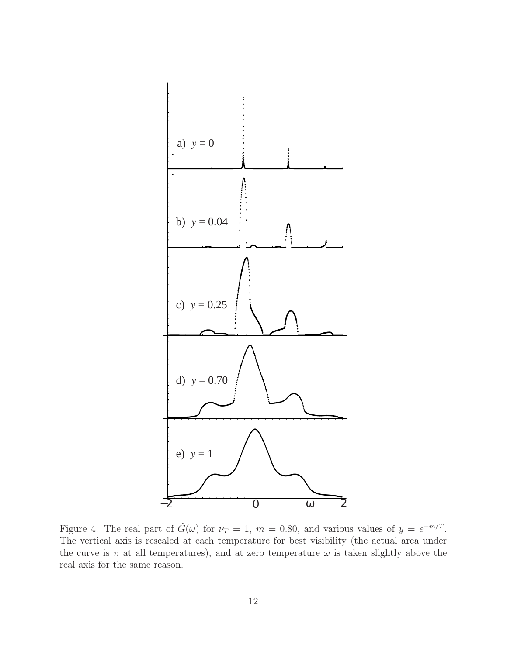

Figure 4: The real part of  $\tilde{G}(\omega)$  for  $\nu_T = 1$ ,  $m = 0.80$ , and various values of  $y = e^{-m/T}$ . The vertical axis is rescaled at each temperature for best visibility (the actual area under the curve is  $\pi$  at all temperatures), and at zero temperature  $\omega$  is taken slightly above the real axis for the same reason.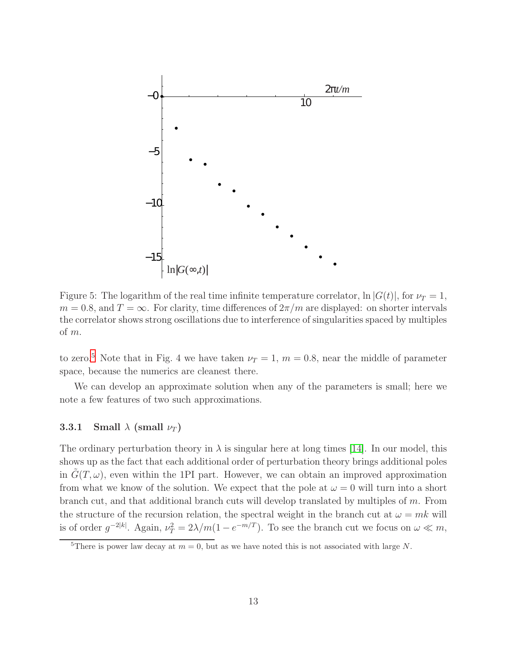

Figure 5: The logarithm of the real time infinite temperature correlator,  $\ln |G(t)|$ , for  $\nu_T = 1$ ,  $m = 0.8$ , and  $T = \infty$ . For clarity, time differences of  $2\pi/m$  are displayed: on shorter intervals the correlator shows strong oscillations due to interference of singularities spaced by multiples of m.

to zero.<sup>[5](#page-13-0)</sup> Note that in Fig. 4 we have taken  $\nu_T = 1, m = 0.8$ , near the middle of parameter space, because the numerics are cleanest there.

We can develop an approximate solution when any of the parameters is small; here we note a few features of two such approximations.

#### 3.3.1 Small  $\lambda$  (small  $\nu_T$ )

The ordinary perturbation theory in  $\lambda$  is singular here at long times [\[14\]](#page-20-10). In our model, this shows up as the fact that each additional order of perturbation theory brings additional poles in  $G(T, \omega)$ , even within the 1PI part. However, we can obtain an improved approximation from what we know of the solution. We expect that the pole at  $\omega = 0$  will turn into a short branch cut, and that additional branch cuts will develop translated by multiples of m. From the structure of the recursion relation, the spectral weight in the branch cut at  $\omega = mk$  will is of order  $g^{-2|k|}$ . Again,  $\nu_T^2 = 2\lambda/m(1 - e^{-m/T})$ . To see the branch cut we focus on  $\omega \ll m$ ,

<span id="page-13-0"></span><sup>&</sup>lt;sup>5</sup>There is power law decay at  $m = 0$ , but as we have noted this is not associated with large N.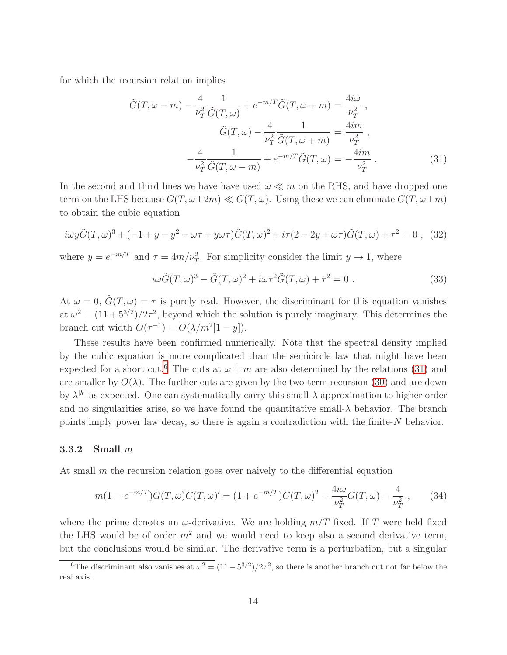for which the recursion relation implies

<span id="page-14-1"></span>
$$
\tilde{G}(T,\omega-m) - \frac{4}{\nu_T^2} \frac{1}{\tilde{G}(T,\omega)} + e^{-m/T} \tilde{G}(T,\omega+m) = \frac{4i\omega}{\nu_T^2},
$$

$$
\tilde{G}(T,\omega) - \frac{4}{\nu_T^2} \frac{1}{\tilde{G}(T,\omega+m)} = \frac{4im}{\nu_T^2},
$$

$$
-\frac{4}{\nu_T^2} \frac{1}{\tilde{G}(T,\omega-m)} + e^{-m/T} \tilde{G}(T,\omega) = -\frac{4im}{\nu_T^2}.
$$
(31)

In the second and third lines we have used  $\omega \ll m$  on the RHS, and have dropped one term on the LHS because  $G(T, \omega \pm 2m) \ll G(T, \omega)$ . Using these we can eliminate  $G(T, \omega \pm m)$ to obtain the cubic equation

$$
i\omega y \tilde{G}(T,\omega)^3 + (-1 + y - y^2 - \omega \tau + y\omega \tau) \tilde{G}(T,\omega)^2 + i\tau (2 - 2y + \omega \tau) \tilde{G}(T,\omega) + \tau^2 = 0 , \quad (32)
$$

where  $y = e^{-m/T}$  and  $\tau = 4m/\nu_T^2$ . For simplicity consider the limit  $y \to 1$ , where

$$
i\omega \tilde{G}(T,\omega)^3 - \tilde{G}(T,\omega)^2 + i\omega \tau^2 \tilde{G}(T,\omega) + \tau^2 = 0.
$$
 (33)

At  $\omega = 0$ ,  $\tilde{G}(T,\omega) = \tau$  is purely real. However, the discriminant for this equation vanishes at  $\omega^2 = (11 + 5^{3/2})/2\tau^2$ , beyond which the solution is purely imaginary. This determines the branch cut width  $O(\tau^{-1}) = O(\lambda/m^2[1-y])$ .

These results have been confirmed numerically. Note that the spectral density implied by the cubic equation is more complicated than the semicircle law that might have been expected for a short cut.<sup>[6](#page-14-0)</sup> The cuts at  $\omega \pm m$  are also determined by the relations [\(31\)](#page-14-1) and are smaller by  $O(\lambda)$ . The further cuts are given by the two-term recursion [\(30\)](#page-11-0) and are down by  $\lambda^{|k|}$  as expected. One can systematically carry this small- $\lambda$  approximation to higher order and no singularities arise, so we have found the quantitative small- $\lambda$  behavior. The branch points imply power law decay, so there is again a contradiction with the finite-N behavior.

#### 3.3.2 Small m

At small m the recursion relation goes over naively to the differential equation

$$
m(1 - e^{-m/T})\tilde{G}(T,\omega)\tilde{G}(T,\omega)' = (1 + e^{-m/T})\tilde{G}(T,\omega)^2 - \frac{4i\omega}{\nu_T^2}\tilde{G}(T,\omega) - \frac{4}{\nu_T^2},\qquad(34)
$$

where the prime denotes an  $\omega$ -derivative. We are holding  $m/T$  fixed. If T were held fixed the LHS would be of order  $m^2$  and we would need to keep also a second derivative term, but the conclusions would be similar. The derivative term is a perturbation, but a singular

<span id="page-14-0"></span><sup>&</sup>lt;sup>6</sup>The discriminant also vanishes at  $\omega^2 = (11 - 5^{3/2})/2\tau^2$ , so there is another branch cut not far below the real axis.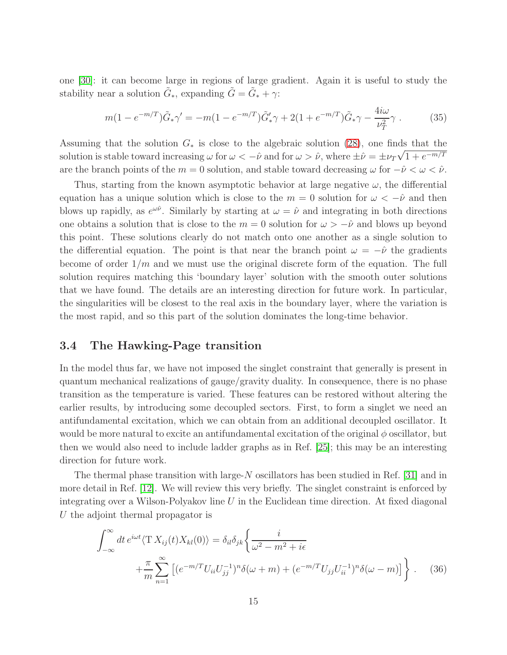one [\[30\]](#page-22-2): it can become large in regions of large gradient. Again it is useful to study the stability near a solution  $\tilde{G}_*$ , expanding  $\tilde{G} = \tilde{G}_* + \gamma$ :

$$
m(1 - e^{-m/T})\tilde{G}_{*}\gamma' = -m(1 - e^{-m/T})\tilde{G}'_{*}\gamma + 2(1 + e^{-m/T})\tilde{G}_{*}\gamma - \frac{4i\omega}{\nu_{T}^{2}}\gamma.
$$
 (35)

Assuming that the solution  $G_*$  is close to the algebraic solution [\(28\)](#page-10-1), one finds that the solution is stable toward increasing  $\omega$  for  $\omega < -\hat{\nu}$  and for  $\omega > \hat{\nu}$ , where  $\pm \hat{\nu} = \pm \nu_T \sqrt{1 + e^{-m/T}}$ are the branch points of the  $m = 0$  solution, and stable toward decreasing  $\omega$  for  $-\hat{\nu} < \omega < \hat{\nu}$ .

Thus, starting from the known asymptotic behavior at large negative  $\omega$ , the differential equation has a unique solution which is close to the  $m = 0$  solution for  $\omega < -\hat{\nu}$  and then blows up rapidly, as  $e^{\omega \hat{\nu}}$ . Similarly by starting at  $\omega = \hat{\nu}$  and integrating in both directions one obtains a solution that is close to the  $m = 0$  solution for  $\omega > -\hat{\nu}$  and blows up beyond this point. These solutions clearly do not match onto one another as a single solution to the differential equation. The point is that near the branch point  $\omega = -\hat{\nu}$  the gradients become of order  $1/m$  and we must use the original discrete form of the equation. The full solution requires matching this 'boundary layer' solution with the smooth outer solutions that we have found. The details are an interesting direction for future work. In particular, the singularities will be closest to the real axis in the boundary layer, where the variation is the most rapid, and so this part of the solution dominates the long-time behavior.

#### 3.4 The Hawking-Page transition

In the model thus far, we have not imposed the singlet constraint that generally is present in quantum mechanical realizations of gauge/gravity duality. In consequence, there is no phase transition as the temperature is varied. These features can be restored without altering the earlier results, by introducing some decoupled sectors. First, to form a singlet we need an antifundamental excitation, which we can obtain from an additional decoupled oscillator. It would be more natural to excite an antifundamental excitation of the original  $\phi$  oscillator, but then we would also need to include ladder graphs as in Ref. [25]; this may be an interesting direction for future work.

The thermal phase transition with large-N oscillators has been studied in Ref. [\[31\]](#page-22-3) and in more detail in Ref. [\[12\]](#page-20-8). We will review this very briefly. The singlet constraint is enforced by integrating over a Wilson-Polyakov line  $U$  in the Euclidean time direction. At fixed diagonal U the adjoint thermal propagator is

<span id="page-15-0"></span>
$$
\int_{-\infty}^{\infty} dt \, e^{i\omega t} \langle \mathcal{T} X_{ij}(t) X_{kl}(0) \rangle = \delta_{il} \delta_{jk} \left\{ \frac{i}{\omega^2 - m^2 + i\epsilon} + \frac{\pi}{m} \sum_{n=1}^{\infty} \left[ \left( e^{-m/T} U_{ii} U_{jj}^{-1} \right)^n \delta(\omega + m) + \left( e^{-m/T} U_{jj} U_{ii}^{-1} \right)^n \delta(\omega - m) \right] \right\} . \tag{36}
$$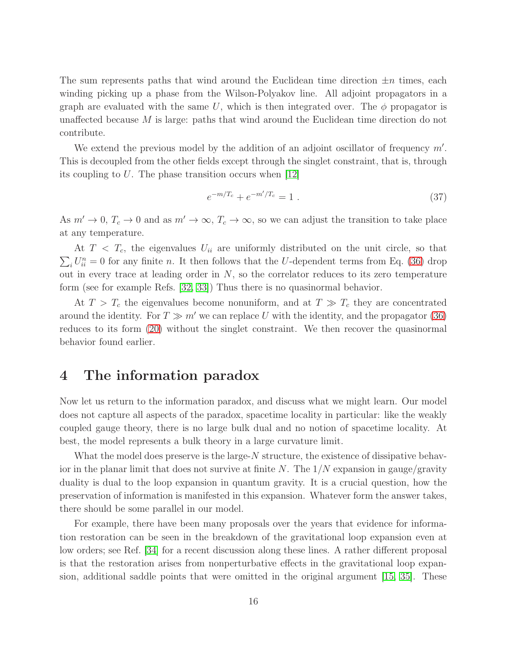The sum represents paths that wind around the Euclidean time direction  $\pm n$  times, each winding picking up a phase from the Wilson-Polyakov line. All adjoint propagators in a graph are evaluated with the same U, which is then integrated over. The  $\phi$  propagator is unaffected because M is large: paths that wind around the Euclidean time direction do not contribute.

We extend the previous model by the addition of an adjoint oscillator of frequency  $m'$ . This is decoupled from the other fields except through the singlet constraint, that is, through its coupling to U. The phase transition occurs when [\[12\]](#page-20-8)

$$
e^{-m/T_c} + e^{-m'/T_c} = 1.
$$
\n(37)

As  $m' \to 0$ ,  $T_c \to 0$  and as  $m' \to \infty$ ,  $T_c \to \infty$ , so we can adjust the transition to take place at any temperature.

At  $T < T_c$ , the eigenvalues  $U_{ii}$  are uniformly distributed on the unit circle, so that  $\sum_i U_{ii}^n = 0$  for any finite n. It then follows that the U-dependent terms from Eq. [\(36\)](#page-15-0) drop out in every trace at leading order in  $N$ , so the correlator reduces to its zero temperature form (see for example Refs. [\[32,](#page-22-4) [33\]](#page-22-5)) Thus there is no quasinormal behavior.

At  $T > T_c$  the eigenvalues become nonuniform, and at  $T \gg T_c$  they are concentrated around the identity. For  $T \gg m'$  we can replace U with the identity, and the propagator [\(36\)](#page-15-0) reduces to its form [\(20\)](#page-9-2) without the singlet constraint. We then recover the quasinormal behavior found earlier.

## 4 The information paradox

Now let us return to the information paradox, and discuss what we might learn. Our model does not capture all aspects of the paradox, spacetime locality in particular: like the weakly coupled gauge theory, there is no large bulk dual and no notion of spacetime locality. At best, the model represents a bulk theory in a large curvature limit.

What the model does preserve is the large-N structure, the existence of dissipative behavior in the planar limit that does not survive at finite N. The  $1/N$  expansion in gauge/gravity duality is dual to the loop expansion in quantum gravity. It is a crucial question, how the preservation of information is manifested in this expansion. Whatever form the answer takes, there should be some parallel in our model.

For example, there have been many proposals over the years that evidence for information restoration can be seen in the breakdown of the gravitational loop expansion even at low orders; see Ref. [\[34\]](#page-22-6) for a recent discussion along these lines. A rather different proposal is that the restoration arises from nonperturbative effects in the gravitational loop expansion, additional saddle points that were omitted in the original argument [\[15,](#page-21-0) [35\]](#page-22-7). These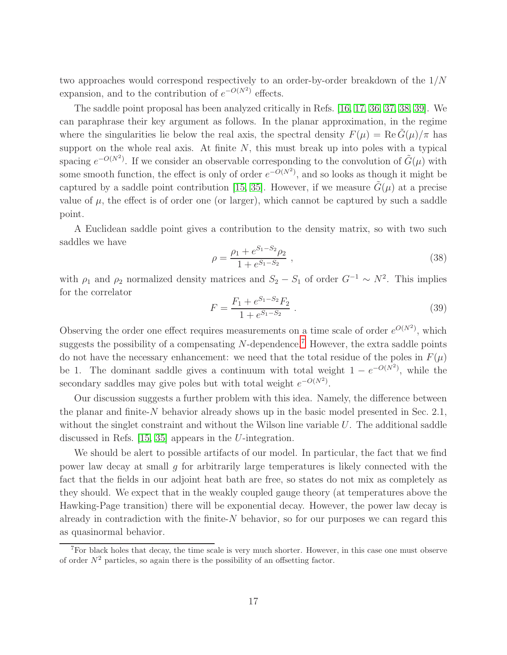two approaches would correspond respectively to an order-by-order breakdown of the 1/N expansion, and to the contribution of  $e^{-O(N^2)}$  effects.

The saddle point proposal has been analyzed critically in Refs. [\[16,](#page-21-3) [17,](#page-21-4) [36,](#page-22-8) [37,](#page-22-9) [38,](#page-22-10) [39\]](#page-22-11). We can paraphrase their key argument as follows. In the planar approximation, in the regime where the singularities lie below the real axis, the spectral density  $F(\mu) = \text{Re } G(\mu)/\pi$  has support on the whole real axis. At finite  $N$ , this must break up into poles with a typical spacing  $e^{-O(N^2)}$ . If we consider an observable corresponding to the convolution of  $\tilde{G}(\mu)$  with some smooth function, the effect is only of order  $e^{-O(N^2)}$ , and so looks as though it might be captured by a saddle point contribution [\[15,](#page-21-0) [35\]](#page-22-7). However, if we measure  $\tilde{G}(\mu)$  at a precise value of  $\mu$ , the effect is of order one (or larger), which cannot be captured by such a saddle point.

A Euclidean saddle point gives a contribution to the density matrix, so with two such saddles we have

$$
\rho = \frac{\rho_1 + e^{S_1 - S_2} \rho_2}{1 + e^{S_1 - S_2}} \,,\tag{38}
$$

with  $\rho_1$  and  $\rho_2$  normalized density matrices and  $S_2 - S_1$  of order  $G^{-1} \sim N^2$ . This implies for the correlator

$$
F = \frac{F_1 + e^{S_1 - S_2} F_2}{1 + e^{S_1 - S_2}} \,. \tag{39}
$$

Observing the order one effect requires measurements on a time scale of order  $e^{O(N^2)}$ , which suggests the possibility of a compensating  $N$ -dependence.<sup>[7](#page-17-0)</sup> However, the extra saddle points do not have the necessary enhancement: we need that the total residue of the poles in  $F(\mu)$ be 1. The dominant saddle gives a continuum with total weight  $1 - e^{-O(N^2)}$ , while the secondary saddles may give poles but with total weight  $e^{-O(N^2)}$ .

Our discussion suggests a further problem with this idea. Namely, the difference between the planar and finite-N behavior already shows up in the basic model presented in Sec. 2.1, without the singlet constraint and without the Wilson line variable  $U$ . The additional saddle discussed in Refs. [\[15,](#page-21-0) [35\]](#page-22-7) appears in the U-integration.

We should be alert to possible artifacts of our model. In particular, the fact that we find power law decay at small g for arbitrarily large temperatures is likely connected with the fact that the fields in our adjoint heat bath are free, so states do not mix as completely as they should. We expect that in the weakly coupled gauge theory (at temperatures above the Hawking-Page transition) there will be exponential decay. However, the power law decay is already in contradiction with the finite- $N$  behavior, so for our purposes we can regard this as quasinormal behavior.

<span id="page-17-0"></span><sup>7</sup>For black holes that decay, the time scale is very much shorter. However, in this case one must observe of order  $N^2$  particles, so again there is the possibility of an offsetting factor.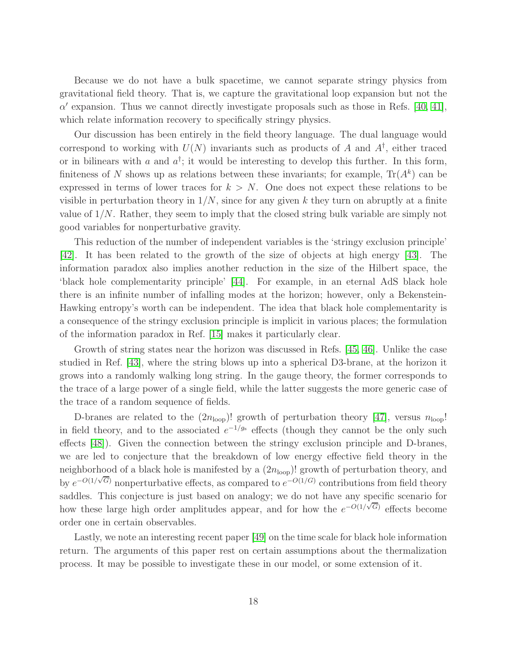Because we do not have a bulk spacetime, we cannot separate stringy physics from gravitational field theory. That is, we capture the gravitational loop expansion but not the  $\alpha'$  expansion. Thus we cannot directly investigate proposals such as those in Refs. [\[40,](#page-22-12) [41\]](#page-22-13), which relate information recovery to specifically stringy physics.

Our discussion has been entirely in the field theory language. The dual language would correspond to working with  $U(N)$  invariants such as products of A and  $A^{\dagger}$ , either traced or in bilinears with a and  $a^{\dagger}$ ; it would be interesting to develop this further. In this form, finiteness of N shows up as relations between these invariants; for example,  $\text{Tr}(A^k)$  can be expressed in terms of lower traces for  $k > N$ . One does not expect these relations to be visible in perturbation theory in  $1/N$ , since for any given k they turn on abruptly at a finite value of  $1/N$ . Rather, they seem to imply that the closed string bulk variable are simply not good variables for nonperturbative gravity.

This reduction of the number of independent variables is the 'stringy exclusion principle' [\[42\]](#page-22-14). It has been related to the growth of the size of objects at high energy [\[43\]](#page-23-0). The information paradox also implies another reduction in the size of the Hilbert space, the 'black hole complementarity principle' [\[44\]](#page-23-1). For example, in an eternal AdS black hole there is an infinite number of infalling modes at the horizon; however, only a Bekenstein-Hawking entropy's worth can be independent. The idea that black hole complementarity is a consequence of the stringy exclusion principle is implicit in various places; the formulation of the information paradox in Ref. [\[15\]](#page-21-0) makes it particularly clear.

Growth of string states near the horizon was discussed in Refs. [\[45,](#page-23-2) [46\]](#page-23-3). Unlike the case studied in Ref. [\[43\]](#page-23-0), where the string blows up into a spherical D3-brane, at the horizon it grows into a randomly walking long string. In the gauge theory, the former corresponds to the trace of a large power of a single field, while the latter suggests the more generic case of the trace of a random sequence of fields.

D-branes are related to the  $(2n_{\text{loop}})!$  growth of perturbation theory [\[47\]](#page-23-4), versus  $n_{\text{loop}}!$ in field theory, and to the associated  $e^{-1/g_s}$  effects (though they cannot be the only such effects [\[48\]](#page-23-5)). Given the connection between the stringy exclusion principle and D-branes, we are led to conjecture that the breakdown of low energy effective field theory in the neighborhood of a black hole is manifested by a  $(2n_{\text{loop}})!$  growth of perturbation theory, and by  $e^{-O(1/\sqrt{G})}$  nonperturbative effects, as compared to  $e^{-O(1/G)}$  contributions from field theory saddles. This conjecture is just based on analogy; we do not have any specific scenario for how these large high order amplitudes appear, and for how the  $e^{-O(1/\sqrt{G})}$  effects become order one in certain observables.

Lastly, we note an interesting recent paper [\[49\]](#page-23-6) on the time scale for black hole information return. The arguments of this paper rest on certain assumptions about the thermalization process. It may be possible to investigate these in our model, or some extension of it.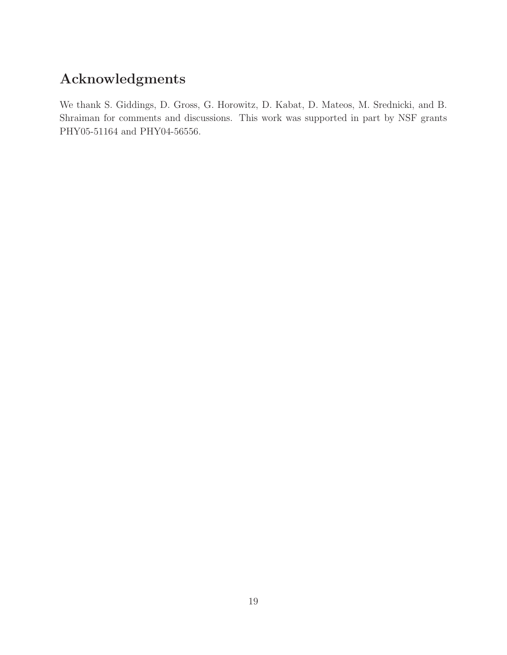# Acknowledgments

We thank S. Giddings, D. Gross, G. Horowitz, D. Kabat, D. Mateos, M. Srednicki, and B. Shraiman for comments and discussions. This work was supported in part by NSF grants PHY05-51164 and PHY04-56556.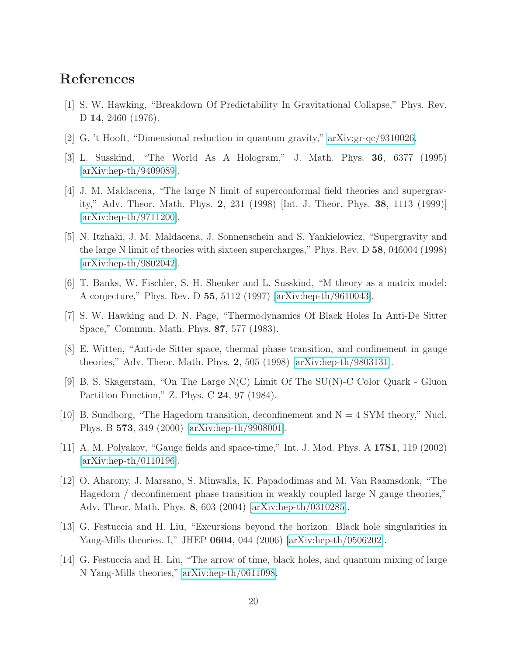## <span id="page-20-0"></span>References

- [1] S. W. Hawking, "Breakdown Of Predictability In Gravitational Collapse," Phys. Rev. D 14, 2460 (1976).
- <span id="page-20-1"></span>[2] G. 't Hooft, "Dimensional reduction in quantum gravity," [arXiv:gr-qc/9310026.](http://arxiv.org/abs/gr-qc/9310026)
- <span id="page-20-2"></span>[3] L. Susskind, "The World As A Hologram," J. Math. Phys. 36, 6377 (1995) [\[arXiv:hep-th/9409089\]](http://arxiv.org/abs/hep-th/9409089).
- [4] J. M. Maldacena, "The large N limit of superconformal field theories and supergravity," Adv. Theor. Math. Phys. 2, 231 (1998) [Int. J. Theor. Phys. 38, 1113 (1999)] [\[arXiv:hep-th/9711200\]](http://arxiv.org/abs/hep-th/9711200).
- <span id="page-20-11"></span>[5] N. Itzhaki, J. M. Maldacena, J. Sonnenschein and S. Yankielowicz, "Supergravity and the large N limit of theories with sixteen supercharges," Phys. Rev. D 58, 046004 (1998) [\[arXiv:hep-th/9802042\]](http://arxiv.org/abs/hep-th/9802042).
- <span id="page-20-12"></span><span id="page-20-3"></span>[6] T. Banks, W. Fischler, S. H. Shenker and L. Susskind, "M theory as a matrix model: A conjecture," Phys. Rev. D 55, 5112 (1997) [\[arXiv:hep-th/9610043\]](http://arxiv.org/abs/hep-th/9610043).
- <span id="page-20-4"></span>[7] S. W. Hawking and D. N. Page, "Thermodynamics Of Black Holes In Anti-De Sitter Space," Commun. Math. Phys. 87, 577 (1983).
- <span id="page-20-5"></span>[8] E. Witten, "Anti-de Sitter space, thermal phase transition, and confinement in gauge theories," Adv. Theor. Math. Phys. 2, 505 (1998) [\[arXiv:hep-th/9803131\]](http://arxiv.org/abs/hep-th/9803131).
- <span id="page-20-6"></span>[9] B. S. Skagerstam, "On The Large N(C) Limit Of The SU(N)-C Color Quark - Gluon Partition Function," Z. Phys. C 24, 97 (1984).
- <span id="page-20-7"></span>[10] B. Sundborg, "The Hagedorn transition, deconfinement and  $N = 4$  SYM theory," Nucl. Phys. B 573, 349 (2000) [\[arXiv:hep-th/9908001\]](http://arxiv.org/abs/hep-th/9908001).
- <span id="page-20-8"></span>[11] A. M. Polyakov, "Gauge fields and space-time," Int. J. Mod. Phys. A 17S1, 119 (2002) [\[arXiv:hep-th/0110196\]](http://arxiv.org/abs/hep-th/0110196).
- [12] O. Aharony, J. Marsano, S. Minwalla, K. Papadodimas and M. Van Raamsdonk, "The Hagedorn / deconfinement phase transition in weakly coupled large N gauge theories," Adv. Theor. Math. Phys. 8, 603 (2004) [\[arXiv:hep-th/0310285\]](http://arxiv.org/abs/hep-th/0310285).
- <span id="page-20-10"></span><span id="page-20-9"></span>[13] G. Festuccia and H. Liu, "Excursions beyond the horizon: Black hole singularities in Yang-Mills theories. I," JHEP 0604, 044 (2006) [\[arXiv:hep-th/0506202\]](http://arxiv.org/abs/hep-th/0506202).
- [14] G. Festuccia and H. Liu, "The arrow of time, black holes, and quantum mixing of large N Yang-Mills theories," [arXiv:hep-th/0611098.](http://arxiv.org/abs/hep-th/0611098)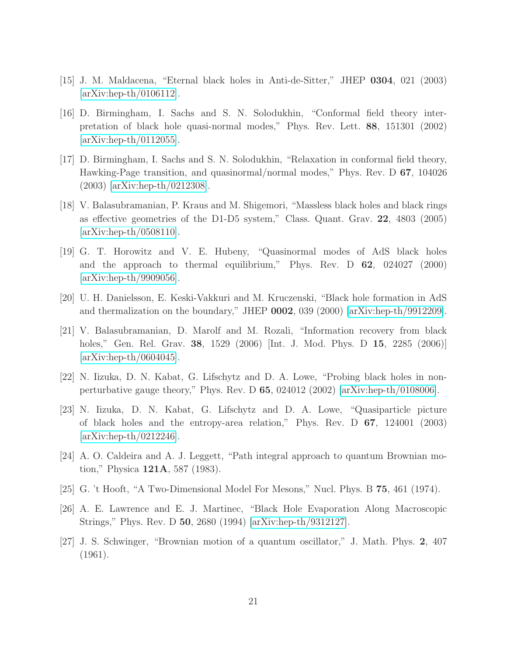- <span id="page-21-3"></span><span id="page-21-0"></span>[15] J. M. Maldacena, "Eternal black holes in Anti-de-Sitter," JHEP 0304, 021 (2003)  $\arXiv:hep-th/0106112$ .
- [16] D. Birmingham, I. Sachs and S. N. Solodukhin, "Conformal field theory interpretation of black hole quasi-normal modes," Phys. Rev. Lett. 88, 151301 (2002)  $\arXiv:hep-th/0112055$ .
- <span id="page-21-4"></span>[17] D. Birmingham, I. Sachs and S. N. Solodukhin, "Relaxation in conformal field theory, Hawking-Page transition, and quasinormal/normal modes," Phys. Rev. D 67, 104026 (2003) [\[arXiv:hep-th/0212308\]](http://arxiv.org/abs/hep-th/0212308).
- <span id="page-21-5"></span>[18] V. Balasubramanian, P. Kraus and M. Shigemori, "Massless black holes and black rings as effective geometries of the D1-D5 system," Class. Quant. Grav. 22, 4803 (2005) [\[arXiv:hep-th/0508110\]](http://arxiv.org/abs/hep-th/0508110).
- <span id="page-21-1"></span>[19] G. T. Horowitz and V. E. Hubeny, "Quasinormal modes of AdS black holes and the approach to thermal equilibrium," Phys. Rev. D 62, 024027 (2000) [\[arXiv:hep-th/9909056\]](http://arxiv.org/abs/hep-th/9909056).
- <span id="page-21-9"></span><span id="page-21-2"></span>[20] U. H. Danielsson, E. Keski-Vakkuri and M. Kruczenski, "Black hole formation in AdS and thermalization on the boundary," JHEP 0002, 039 (2000) [\[arXiv:hep-th/9912209\]](http://arxiv.org/abs/hep-th/9912209).
- [21] V. Balasubramanian, D. Marolf and M. Rozali, "Information recovery from black holes," Gen. Rel. Grav. 38, 1529 (2006) [Int. J. Mod. Phys. D 15, 2285 (2006)]  $\arXiv:hep-th/0604045$ .
- <span id="page-21-7"></span><span id="page-21-6"></span>[22] N. Iizuka, D. N. Kabat, G. Lifschytz and D. A. Lowe, "Probing black holes in nonperturbative gauge theory," Phys. Rev. D 65, 024012 (2002) [\[arXiv:hep-th/0108006\]](http://arxiv.org/abs/hep-th/0108006).
- [23] N. Iizuka, D. N. Kabat, G. Lifschytz and D. A. Lowe, "Quasiparticle picture of black holes and the entropy-area relation," Phys. Rev. D 67, 124001 (2003) [\[arXiv:hep-th/0212246\]](http://arxiv.org/abs/hep-th/0212246).
- <span id="page-21-8"></span>[24] A. O. Caldeira and A. J. Leggett, "Path integral approach to quantum Brownian motion," Physica 121A, 587 (1983).
- <span id="page-21-10"></span>[25] G. 't Hooft, "A Two-Dimensional Model For Mesons," Nucl. Phys. B 75, 461 (1974).
- <span id="page-21-11"></span>[26] A. E. Lawrence and E. J. Martinec, "Black Hole Evaporation Along Macroscopic Strings," Phys. Rev. D 50, 2680 (1994) [\[arXiv:hep-th/9312127\]](http://arxiv.org/abs/hep-th/9312127).
- [27] J. S. Schwinger, "Brownian motion of a quantum oscillator," J. Math. Phys. 2, 407 (1961).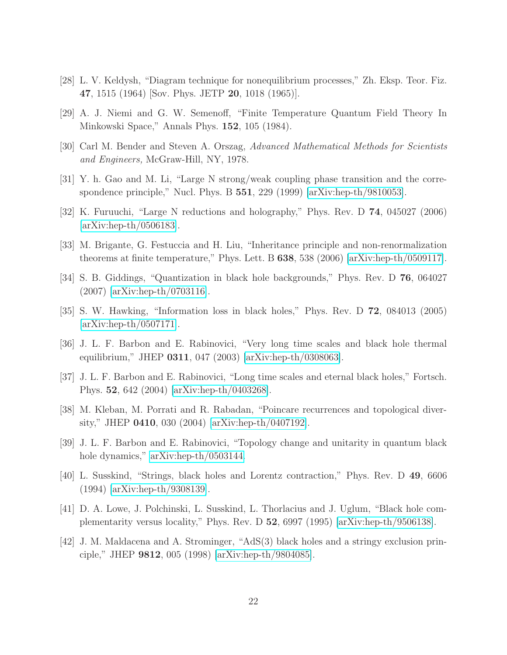- <span id="page-22-1"></span><span id="page-22-0"></span>[28] L. V. Keldysh, "Diagram technique for nonequilibrium processes," Zh. Eksp. Teor. Fiz. 47, 1515 (1964) Sov. Phys. JETP 20, 1018 (1965).
- <span id="page-22-2"></span>[29] A. J. Niemi and G. W. Semenoff, "Finite Temperature Quantum Field Theory In Minkowski Space," Annals Phys. 152, 105 (1984).
- <span id="page-22-3"></span>[30] Carl M. Bender and Steven A. Orszag, Advanced Mathematical Methods for Scientists and Engineers, McGraw-Hill, NY, 1978.
- <span id="page-22-4"></span>[31] Y. h. Gao and M. Li, "Large N strong/weak coupling phase transition and the correspondence principle," Nucl. Phys. B 551, 229 (1999) [\[arXiv:hep-th/9810053\]](http://arxiv.org/abs/hep-th/9810053).
- <span id="page-22-5"></span>[32] K. Furuuchi, "Large N reductions and holography," Phys. Rev. D 74, 045027 (2006) [\[arXiv:hep-th/0506183\]](http://arxiv.org/abs/hep-th/0506183).
- <span id="page-22-6"></span>[33] M. Brigante, G. Festuccia and H. Liu, "Inheritance principle and non-renormalization theorems at finite temperature," Phys. Lett. B 638, 538 (2006) [\[arXiv:hep-th/0509117\]](http://arxiv.org/abs/hep-th/0509117).
- <span id="page-22-7"></span>[34] S. B. Giddings, "Quantization in black hole backgrounds," Phys. Rev. D 76, 064027 (2007) [\[arXiv:hep-th/0703116\]](http://arxiv.org/abs/hep-th/0703116).
- <span id="page-22-8"></span>[35] S. W. Hawking, "Information loss in black holes," Phys. Rev. D 72, 084013 (2005) [\[arXiv:hep-th/0507171\]](http://arxiv.org/abs/hep-th/0507171).
- <span id="page-22-9"></span>[36] J. L. F. Barbon and E. Rabinovici, "Very long time scales and black hole thermal equilibrium," JHEP 0311, 047 (2003) [\[arXiv:hep-th/0308063\]](http://arxiv.org/abs/hep-th/0308063).
- <span id="page-22-10"></span>[37] J. L. F. Barbon and E. Rabinovici, "Long time scales and eternal black holes," Fortsch. Phys. 52, 642 (2004) [\[arXiv:hep-th/0403268\]](http://arxiv.org/abs/hep-th/0403268).
- <span id="page-22-11"></span>[38] M. Kleban, M. Porrati and R. Rabadan, "Poincare recurrences and topological diversity," JHEP 0410, 030 (2004) [\[arXiv:hep-th/0407192\]](http://arxiv.org/abs/hep-th/0407192).
- <span id="page-22-12"></span>[39] J. L. F. Barbon and E. Rabinovici, "Topology change and unitarity in quantum black hole dynamics," [arXiv:hep-th/0503144.](http://arxiv.org/abs/hep-th/0503144)
- <span id="page-22-13"></span>[40] L. Susskind, "Strings, black holes and Lorentz contraction," Phys. Rev. D 49, 6606 (1994) [\[arXiv:hep-th/9308139\]](http://arxiv.org/abs/hep-th/9308139).
- <span id="page-22-14"></span>[41] D. A. Lowe, J. Polchinski, L. Susskind, L. Thorlacius and J. Uglum, "Black hole complementarity versus locality," Phys. Rev. D 52, 6997 (1995) [\[arXiv:hep-th/9506138\]](http://arxiv.org/abs/hep-th/9506138).
- [42] J. M. Maldacena and A. Strominger, "AdS(3) black holes and a stringy exclusion principle," JHEP 9812, 005 (1998) [\[arXiv:hep-th/9804085\]](http://arxiv.org/abs/hep-th/9804085).